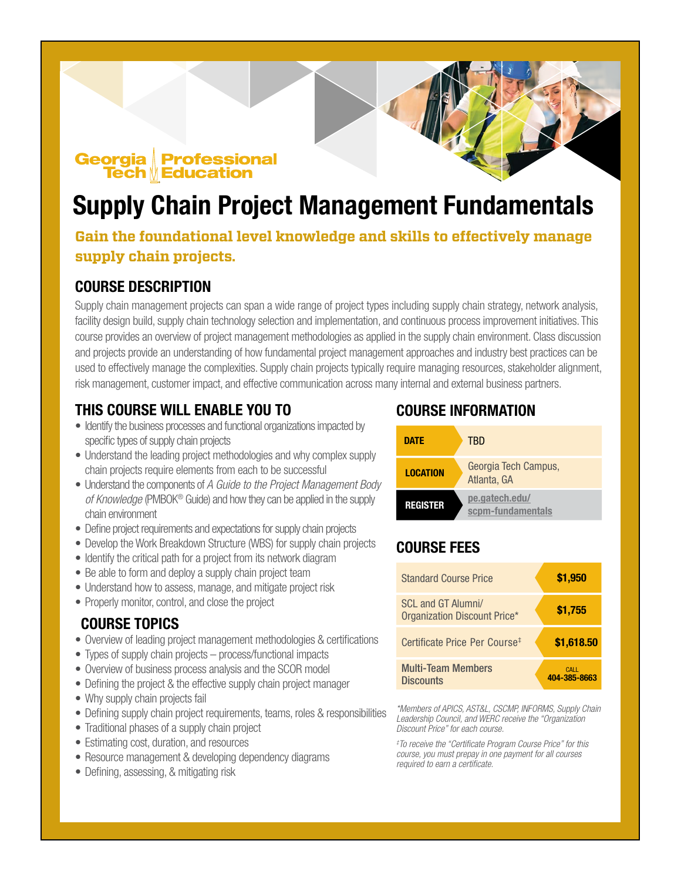#### **Georgia** Professional **Tech Meducation**

# Supply Chain Project Management Fundamentals

### **Gain the foundational level knowledge and skills to effectively manage supply chain projects.**

### COURSE DESCRIPTION

Supply chain management projects can span a wide range of project types including supply chain strategy, network analysis, facility design build, supply chain technology selection and implementation, and continuous process improvement initiatives. This course provides an overview of project management methodologies as applied in the supply chain environment. Class discussion and projects provide an understanding of how fundamental project management approaches and industry best practices can be used to effectively manage the complexities. Supply chain projects typically require managing resources, stakeholder alignment, risk management, customer impact, and effective communication across many internal and external business partners.

### THIS COURSE WILL ENABLE YOU TO

- Identify the business processes and functional organizations impacted by specific types of supply chain projects
- Understand the leading project methodologies and why complex supply chain projects require elements from each to be successful
- Understand the components of *A Guide to the Project Management Body of Knowledge* (PMBOK® Guide) and how they can be applied in the supply chain environment
- Define project requirements and expectations for supply chain projects
- Develop the Work Breakdown Structure (WBS) for supply chain projects
- Identify the critical path for a project from its network diagram
- Be able to form and deploy a supply chain project team
- Understand how to assess, manage, and mitigate project risk
- Properly monitor, control, and close the project

### COURSE TOPICS

- Overview of leading project management methodologies & certifications
- Types of supply chain projects process/functional impacts
- Overview of business process analysis and the SCOR model
- Defining the project & the effective supply chain project manager
- Why supply chain projects fail
- Defining supply chain project requirements, teams, roles & responsibilities
- Traditional phases of a supply chain project
- Estimating cost, duration, and resources
- Resource management & developing dependency diagrams
- Defining, assessing, & mitigating risk

### COURSE INFORMATION

| DATE            | TRD                                 |
|-----------------|-------------------------------------|
| <b>LOCATION</b> | Georgia Tech Campus,<br>Atlanta, GA |
| <b>REGISTER</b> | pe.gatech.edu/<br>scpm-fundamentals |

### COURSE FEES

| <b>Standard Course Price</b>                              | \$1,950               |
|-----------------------------------------------------------|-----------------------|
| <b>SCL and GT Alumni/</b><br>Organization Discount Price* | \$1,755               |
| Certificate Price Per Course <sup>#</sup>                 | \$1,618.50            |
| <b>Multi-Team Members</b><br><b>Discounts</b>             | CALL.<br>404-385-8663 |

*\*Members of APICS, AST&L, CSCMP, INFORMS, Supply Chain Leadership Council, and WERC receive the "Organization Discount Price" for each course.*

*‡ To receive the "Certificate Program Course Price" for this course, you must prepay in one payment for all courses required to earn a certificate.*